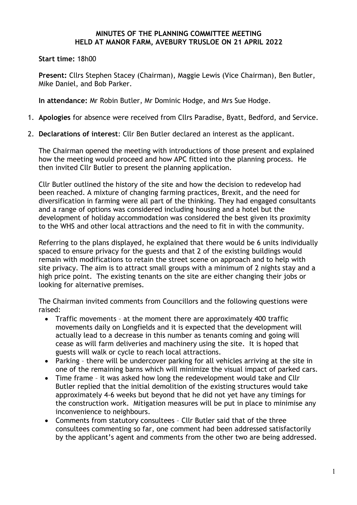## **MINUTES OF THE PLANNING COMMITTEE MEETING HELD AT MANOR FARM, AVEBURY TRUSLOE ON 21 APRIL 2022**

## **Start time:** 18h00

**Present:** Cllrs Stephen Stacey (Chairman), Maggie Lewis (Vice Chairman), Ben Butler, Mike Daniel, and Bob Parker.

**In attendance:** Mr Robin Butler, Mr Dominic Hodge, and Mrs Sue Hodge.

- 1. **Apologies** for absence were received from Cllrs Paradise, Byatt, Bedford, and Service.
- 2. **Declarations of interest**: Cllr Ben Butler declared an interest as the applicant.

The Chairman opened the meeting with introductions of those present and explained how the meeting would proceed and how APC fitted into the planning process. He then invited Cllr Butler to present the planning application.

Cllr Butler outlined the history of the site and how the decision to redevelop had been reached. A mixture of changing farming practices, Brexit, and the need for diversification in farming were all part of the thinking. They had engaged consultants and a range of options was considered including housing and a hotel but the development of holiday accommodation was considered the best given its proximity to the WHS and other local attractions and the need to fit in with the community.

Referring to the plans displayed, he explained that there would be 6 units individually spaced to ensure privacy for the guests and that 2 of the existing buildings would remain with modifications to retain the street scene on approach and to help with site privacy. The aim is to attract small groups with a minimum of 2 nights stay and a high price point. The existing tenants on the site are either changing their jobs or looking for alternative premises.

The Chairman invited comments from Councillors and the following questions were raised:

- Traffic movements at the moment there are approximately 400 traffic movements daily on Longfields and it is expected that the development will actually lead to a decrease in this number as tenants coming and going will cease as will farm deliveries and machinery using the site. It is hoped that guests will walk or cycle to reach local attractions.
- Parking there will be undercover parking for all vehicles arriving at the site in one of the remaining barns which will minimize the visual impact of parked cars.
- Time frame it was asked how long the redevelopment would take and Cllr Butler replied that the initial demolition of the existing structures would take approximately 4-6 weeks but beyond that he did not yet have any timings for the construction work. Mitigation measures will be put in place to minimise any inconvenience to neighbours.
- Comments from statutory consultees Cllr Butler said that of the three consultees commenting so far, one comment had been addressed satisfactorily by the applicant's agent and comments from the other two are being addressed.